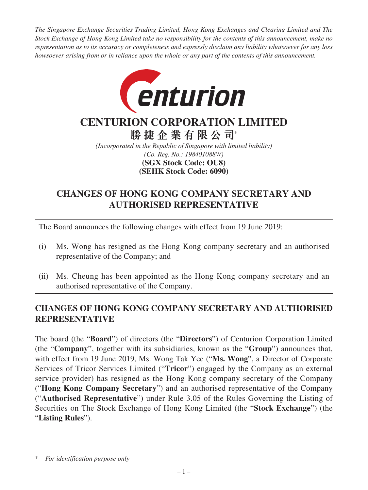*The Singapore Exchange Securities Trading Limited, Hong Kong Exchanges and Clearing Limited and The Stock Exchange of Hong Kong Limited take no responsibility for the contents of this announcement, make no representation as to its accuracy or completeness and expressly disclaim any liability whatsoever for any loss howsoever arising from or in reliance upon the whole or any part of the contents of this announcement.*



## **CENTURION CORPORATION LIMITED**

**勝捷企業有限公司\***

*(Incorporated in the Republic of Singapore with limited liability) (Co. Reg. No.: 198401088W)* **(SEHK Stock Code: 6090) (SGX Stock Code: OU8)**

## **CHANGES OF HONG KONG COMPANY SECRETARY AND AUTHORISED REPRESENTATIVE**

The Board announces the following changes with effect from 19 June 2019:

- (i) Ms. Wong has resigned as the Hong Kong company secretary and an authorised representative of the Company; and
- (ii) Ms. Cheung has been appointed as the Hong Kong company secretary and an authorised representative of the Company.

## **CHANGES OF HONG KONG COMPANY SECRETARY AND AUTHORISED REPRESENTATIVE**

The board (the "**Board**") of directors (the "**Directors**") of Centurion Corporation Limited (the "**Company**", together with its subsidiaries, known as the "**Group**") announces that, with effect from 19 June 2019, Ms. Wong Tak Yee ("**Ms. Wong**", a Director of Corporate Services of Tricor Services Limited ("**Tricor**") engaged by the Company as an external service provider) has resigned as the Hong Kong company secretary of the Company ("**Hong Kong Company Secretary**") and an authorised representative of the Company ("**Authorised Representative**") under Rule 3.05 of the Rules Governing the Listing of Securities on The Stock Exchange of Hong Kong Limited (the "**Stock Exchange**") (the "**Listing Rules**").

<sup>\*</sup> *For identification purpose only*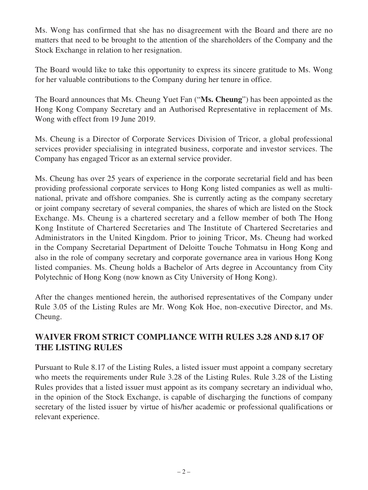Ms. Wong has confirmed that she has no disagreement with the Board and there are no matters that need to be brought to the attention of the shareholders of the Company and the Stock Exchange in relation to her resignation.

The Board would like to take this opportunity to express its sincere gratitude to Ms. Wong for her valuable contributions to the Company during her tenure in office.

The Board announces that Ms. Cheung Yuet Fan ("**Ms. Cheung**") has been appointed as the Hong Kong Company Secretary and an Authorised Representative in replacement of Ms. Wong with effect from 19 June 2019.

Ms. Cheung is a Director of Corporate Services Division of Tricor, a global professional services provider specialising in integrated business, corporate and investor services. The Company has engaged Tricor as an external service provider.

Ms. Cheung has over 25 years of experience in the corporate secretarial field and has been providing professional corporate services to Hong Kong listed companies as well as multinational, private and offshore companies. She is currently acting as the company secretary or joint company secretary of several companies, the shares of which are listed on the Stock Exchange. Ms. Cheung is a chartered secretary and a fellow member of both The Hong Kong Institute of Chartered Secretaries and The Institute of Chartered Secretaries and Administrators in the United Kingdom. Prior to joining Tricor, Ms. Cheung had worked in the Company Secretarial Department of Deloitte Touche Tohmatsu in Hong Kong and also in the role of company secretary and corporate governance area in various Hong Kong listed companies. Ms. Cheung holds a Bachelor of Arts degree in Accountancy from City Polytechnic of Hong Kong (now known as City University of Hong Kong).

After the changes mentioned herein, the authorised representatives of the Company under Rule 3.05 of the Listing Rules are Mr. Wong Kok Hoe, non-executive Director, and Ms. Cheung.

## **WAIVER FROM STRICT COMPLIANCE WITH RULES 3.28 AND 8.17 OF THE LISTING RULES**

Pursuant to Rule 8.17 of the Listing Rules, a listed issuer must appoint a company secretary who meets the requirements under Rule 3.28 of the Listing Rules. Rule 3.28 of the Listing Rules provides that a listed issuer must appoint as its company secretary an individual who, in the opinion of the Stock Exchange, is capable of discharging the functions of company secretary of the listed issuer by virtue of his/her academic or professional qualifications or relevant experience.